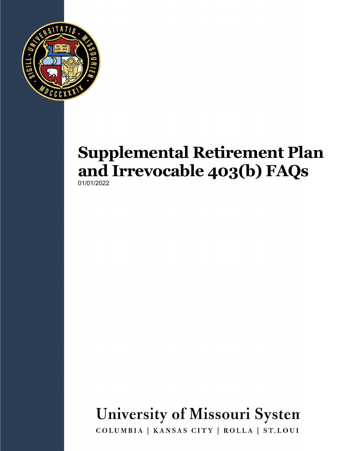

### **Supplemental Retirement Plan and Irrevocable 403(b) FAQs** 01/01/2022

# **University of Missouri System**

COLUMBIA | KANSAS CITY | ROLLA | ST.LOUI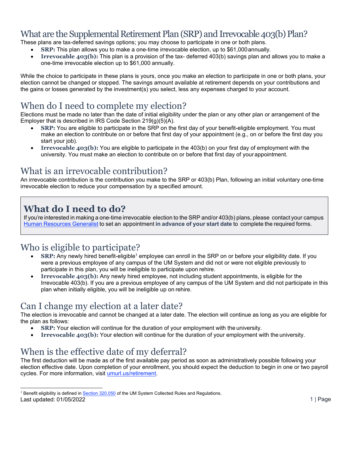#### What are the Supplemental Retirement Plan (SRP) and Irrevocable 403(b) Plan?

These plans are tax-deferred savings options; you may choose to participate in one or both plans.

- **SRP:** This plan allows you to make a one-time irrevocable election, up to \$61,000annually.
- **Irrevocable 403(b):** This plan is a provision of the tax- deferred 403(b) savings plan and allows you to make a one-time irrevocable election up to \$61,000 annually.

While the choice to participate in these plans is yours, once you make an election to participate in one or both plans, your election cannot be changed or stopped. The savings amount available at retirement depends on your contributions and the gains or losses generated by the investment(s) you select, less any expenses charged to your account.

#### When do I need to complete my election?

Elections must be made no later than the date of initial eligibility under the plan or any other plan or arrangement of the Employer that is described in IRS Code Section 219(g)(5)(A).

- **SRP:** You are eligible to participate in the SRP on the first day of your benefit-eligible employment. You must make an election to contribute on or before that first day of your appointment (e.g., on or before the first day you start your job).
- **Irrevocable 403(b):** You are eligible to participate in the 403(b) on your first day of employment with the university. You must make an election to contribute on or before that first day of yourappointment.

#### What is an irrevocable contribution?

An irrevocable contribution is the contribution you make to the SRP or 403(b) Plan, following an initial voluntary one-time irrevocable election to reduce your compensation by a specified amount.

#### **What do I need to do?**

If you're interested in making a one-time irrevocable election to the SRP and/or 403(b) plans, please contact your campus Human [Resources](https://www.umsystem.edu/ums/hr/staff_directory_hr_service_center#mu) Generalist to set an appointment **in advance of your start date** to complete the required forms.

#### Who is eligible to participate?

- **SRP:** Any newly hired benefit-eligible1 employee can enroll in the SRP on or before your eligibility date. If you were a previous employee of any campus of the UM System and did not or were not eligible previously to participate in this plan, you will be ineligible to participate upon rehire.
- **Irrevocable 403(b):** Any newly hired employee, not including student appointments, is eligible for the Irrevocable 403(b). If you are a previous employee of any campus of the UM System and did not participate in this plan when initially eligible, you will be ineligible up on rehire.

#### Can I change my election at a later date?

The election is irrevocable and cannot be changed at a later date. The election will continue as long as you are eligible for the plan as follows:

- **SRP:** Your election will continue for the duration of your employment with the university.
- **Irrevocable 403(b):** Your election will continue for the duration of your employment with the university.

#### When is the effective date of my deferral?

The first deduction will be made as of the first available pay period as soon as administratively possible following your election effective date. Upon completion of your enrollment, you should expect the deduction to begin in one or two payroll cycles. For more information, visit [umurl.us/retirement.](https://www.umsystem.edu/totalrewards/retirement)

<sup>&</sup>lt;sup>1</sup> Benefit eligibility is defined in <u>[Section 320.050](https://www.umsystem.edu/ums/rules/collected_rules/personnel/ch320/320.050_employee_status)</u> of the UM System Collected Rules and Regulations. Last updated: 01/05/2022 1 | Page